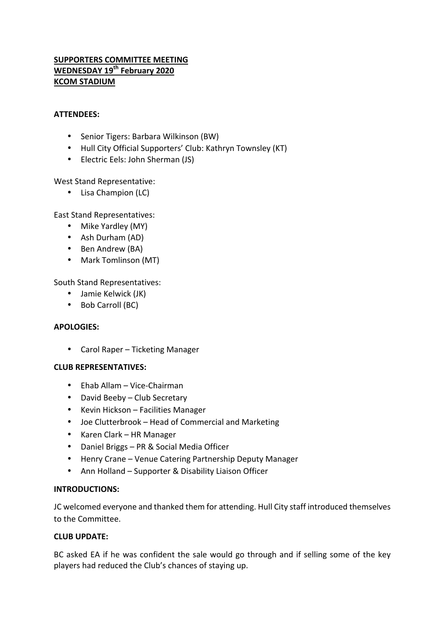# **SUPPORTERS COMMITTEE MEETING WEDNESDAY 19<sup>th</sup> February 2020 KCOM STADIUM**

#### **ATTENDEES:**

- Senior Tigers: Barbara Wilkinson (BW)
- Hull City Official Supporters' Club: Kathryn Townsley (KT)
- Electric Eels: John Sherman (JS)

### West Stand Representative:

• Lisa Champion (LC)

East Stand Representatives:

- Mike Yardley (MY)
- Ash Durham (AD)
- Ben Andrew (BA)
- Mark Tomlinson (MT)

South Stand Representatives:

- Jamie Kelwick (JK)
- Bob Carroll (BC)

#### **APOLOGIES:**

• Carol Raper – Ticketing Manager

#### **CLUB REPRESENTATIVES:**

- Ehab Allam Vice-Chairman
- David Beeby Club Secretary
- Kevin Hickson Facilities Manager
- Joe Clutterbrook Head of Commercial and Marketing
- Karen Clark HR Manager
- Daniel Briggs PR & Social Media Officer
- Henry Crane Venue Catering Partnership Deputy Manager
- Ann Holland Supporter & Disability Liaison Officer

#### **INTRODUCTIONS:**

JC welcomed everyone and thanked them for attending. Hull City staff introduced themselves to the Committee.

#### **CLUB UPDATE:**

BC asked EA if he was confident the sale would go through and if selling some of the key players had reduced the Club's chances of staying up.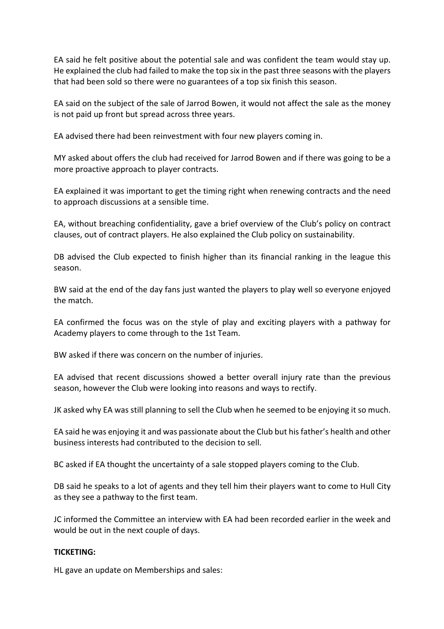EA said he felt positive about the potential sale and was confident the team would stay up. He explained the club had failed to make the top six in the past three seasons with the players that had been sold so there were no guarantees of a top six finish this season.

EA said on the subject of the sale of Jarrod Bowen, it would not affect the sale as the money is not paid up front but spread across three years.

EA advised there had been reinvestment with four new players coming in.

MY asked about offers the club had received for Jarrod Bowen and if there was going to be a more proactive approach to player contracts.

EA explained it was important to get the timing right when renewing contracts and the need to approach discussions at a sensible time.

EA, without breaching confidentiality, gave a brief overview of the Club's policy on contract clauses, out of contract players. He also explained the Club policy on sustainability.

DB advised the Club expected to finish higher than its financial ranking in the league this season.

BW said at the end of the day fans just wanted the players to play well so everyone enjoyed the match

EA confirmed the focus was on the style of play and exciting players with a pathway for Academy players to come through to the 1st Team.

BW asked if there was concern on the number of injuries.

EA advised that recent discussions showed a better overall injury rate than the previous season, however the Club were looking into reasons and ways to rectify.

JK asked why EA was still planning to sell the Club when he seemed to be enjoying it so much.

EA said he was enjoying it and was passionate about the Club but his father's health and other business interests had contributed to the decision to sell.

BC asked if EA thought the uncertainty of a sale stopped players coming to the Club.

DB said he speaks to a lot of agents and they tell him their players want to come to Hull City as they see a pathway to the first team.

JC informed the Committee an interview with EA had been recorded earlier in the week and would be out in the next couple of days.

#### **TICKETING:**

HL gave an update on Memberships and sales: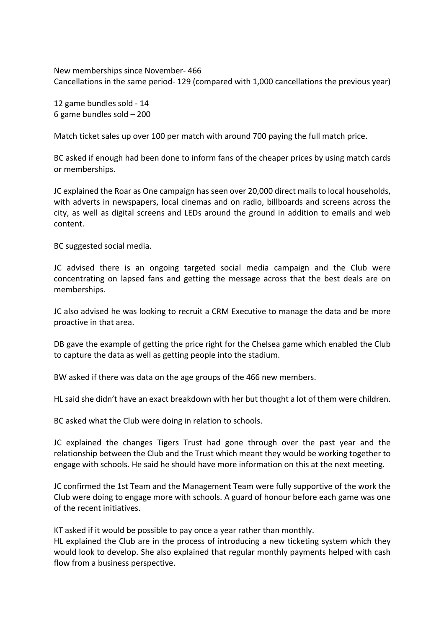New memberships since November- 466 Cancellations in the same period- 129 (compared with 1,000 cancellations the previous year)

12 game bundles sold - 14 6 game bundles sold  $-200$ 

Match ticket sales up over 100 per match with around 700 paying the full match price.

BC asked if enough had been done to inform fans of the cheaper prices by using match cards or memberships.

JC explained the Roar as One campaign has seen over 20,000 direct mails to local households, with adverts in newspapers, local cinemas and on radio, billboards and screens across the city, as well as digital screens and LEDs around the ground in addition to emails and web content.

BC suggested social media.

JC advised there is an ongoing targeted social media campaign and the Club were concentrating on lapsed fans and getting the message across that the best deals are on memberships.

JC also advised he was looking to recruit a CRM Executive to manage the data and be more proactive in that area.

DB gave the example of getting the price right for the Chelsea game which enabled the Club to capture the data as well as getting people into the stadium.

BW asked if there was data on the age groups of the 466 new members.

HL said she didn't have an exact breakdown with her but thought a lot of them were children.

BC asked what the Club were doing in relation to schools.

JC explained the changes Tigers Trust had gone through over the past year and the relationship between the Club and the Trust which meant they would be working together to engage with schools. He said he should have more information on this at the next meeting.

JC confirmed the 1st Team and the Management Team were fully supportive of the work the Club were doing to engage more with schools. A guard of honour before each game was one of the recent initiatives.

KT asked if it would be possible to pay once a year rather than monthly.

HL explained the Club are in the process of introducing a new ticketing system which they would look to develop. She also explained that regular monthly payments helped with cash flow from a business perspective.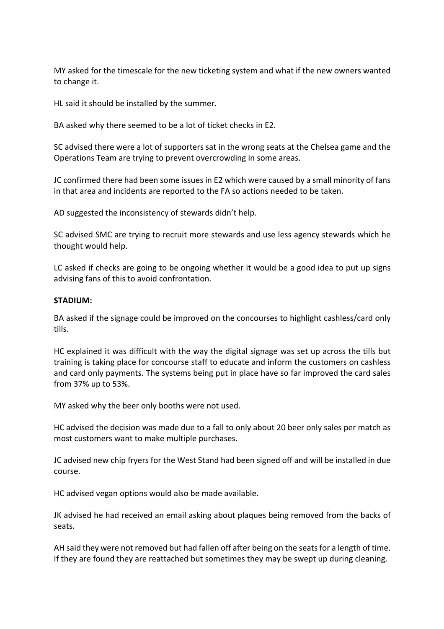MY asked for the timescale for the new ticketing system and what if the new owners wanted to change it.

HL said it should be installed by the summer.

BA asked why there seemed to be a lot of ticket checks in E2.

SC advised there were a lot of supporters sat in the wrong seats at the Chelsea game and the Operations Team are trying to prevent overcrowding in some areas.

JC confirmed there had been some issues in E2 which were caused by a small minority of fans in that area and incidents are reported to the FA so actions needed to be taken.

AD suggested the inconsistency of stewards didn't help.

SC advised SMC are trying to recruit more stewards and use less agency stewards which he thought would help.

LC asked if checks are going to be ongoing whether it would be a good idea to put up signs advising fans of this to avoid confrontation.

#### **STADIUM:**

BA asked if the signage could be improved on the concourses to highlight cashless/card only tills.

HC explained it was difficult with the way the digital signage was set up across the tills but training is taking place for concourse staff to educate and inform the customers on cashless and card only payments. The systems being put in place have so far improved the card sales from 37% up to 53%.

MY asked why the beer only booths were not used.

HC advised the decision was made due to a fall to only about 20 beer only sales per match as most customers want to make multiple purchases.

JC advised new chip fryers for the West Stand had been signed off and will be installed in due course.

HC advised vegan options would also be made available.

JK advised he had received an email asking about plaques being removed from the backs of seats.

AH said they were not removed but had fallen off after being on the seats for a length of time. If they are found they are reattached but sometimes they may be swept up during cleaning.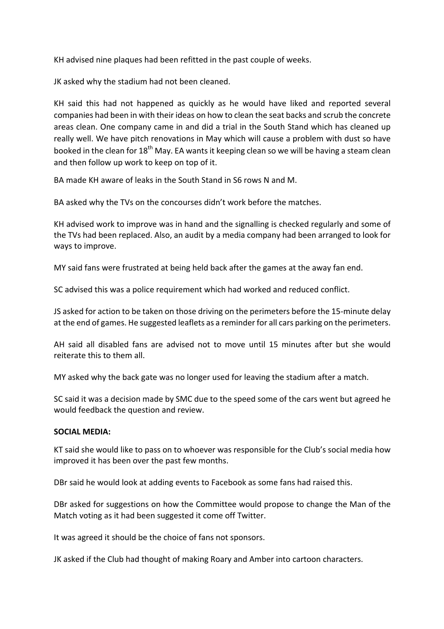KH advised nine plaques had been refitted in the past couple of weeks.

JK asked why the stadium had not been cleaned.

KH said this had not happened as quickly as he would have liked and reported several companies had been in with their ideas on how to clean the seat backs and scrub the concrete areas clean. One company came in and did a trial in the South Stand which has cleaned up really well. We have pitch renovations in May which will cause a problem with dust so have booked in the clean for  $18<sup>th</sup>$  May. EA wants it keeping clean so we will be having a steam clean and then follow up work to keep on top of it.

BA made KH aware of leaks in the South Stand in S6 rows N and M.

BA asked why the TVs on the concourses didn't work before the matches.

KH advised work to improve was in hand and the signalling is checked regularly and some of the TVs had been replaced. Also, an audit by a media company had been arranged to look for ways to improve.

MY said fans were frustrated at being held back after the games at the away fan end.

SC advised this was a police requirement which had worked and reduced conflict.

JS asked for action to be taken on those driving on the perimeters before the 15-minute delay at the end of games. He suggested leaflets as a reminder for all cars parking on the perimeters.

AH said all disabled fans are advised not to move until 15 minutes after but she would reiterate this to them all.

MY asked why the back gate was no longer used for leaving the stadium after a match.

SC said it was a decision made by SMC due to the speed some of the cars went but agreed he would feedback the question and review.

#### **SOCIAL MEDIA:**

KT said she would like to pass on to whoever was responsible for the Club's social media how improved it has been over the past few months.

DBr said he would look at adding events to Facebook as some fans had raised this.

DBr asked for suggestions on how the Committee would propose to change the Man of the Match voting as it had been suggested it come off Twitter.

It was agreed it should be the choice of fans not sponsors.

JK asked if the Club had thought of making Roary and Amber into cartoon characters.